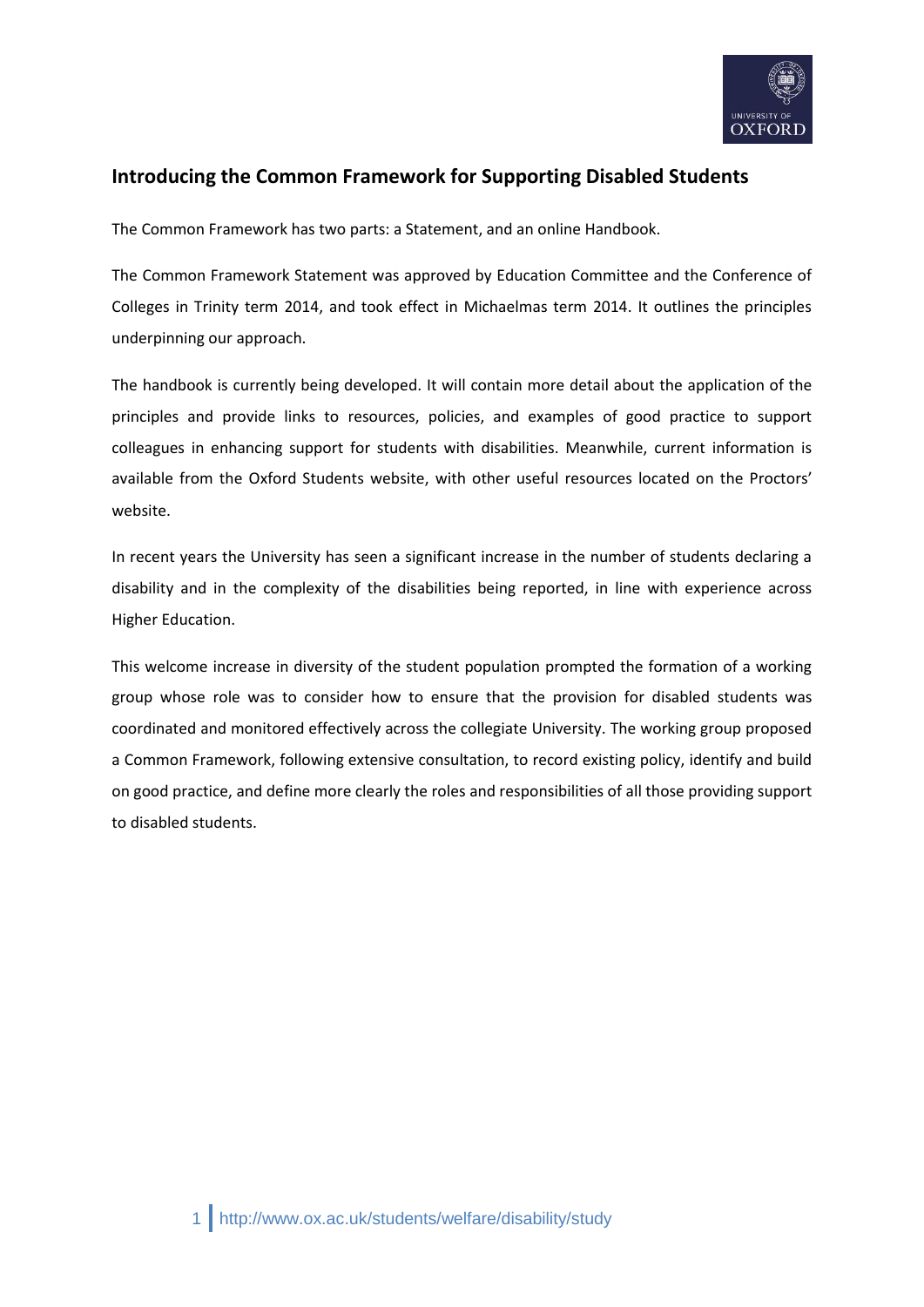

# **Introducing the Common Framework for Supporting Disabled Students**

The Common Framework has two parts: a Statement, and an online Handbook.

The Common Framework Statement was approved by Education Committee and the Conference of Colleges in Trinity term 2014, and took effect in Michaelmas term 2014. It outlines the principles underpinning our approach.

The handbook is currently being developed. It will contain more detail about the application of the principles and provide links to resources, policies, and examples of good practice to support colleagues in enhancing support for students with disabilities. Meanwhile, current information is available from the Oxford Students website, with other useful resources located on the Proctors' website.

In recent years the University has seen a significant increase in the number of students declaring a disability and in the complexity of the disabilities being reported, in line with experience across Higher Education.

This welcome increase in diversity of the student population prompted the formation of a working group whose role was to consider how to ensure that the provision for disabled students was coordinated and monitored effectively across the collegiate University. The working group proposed a Common Framework, following extensive consultation, to record existing policy, identify and build on good practice, and define more clearly the roles and responsibilities of all those providing support to disabled students.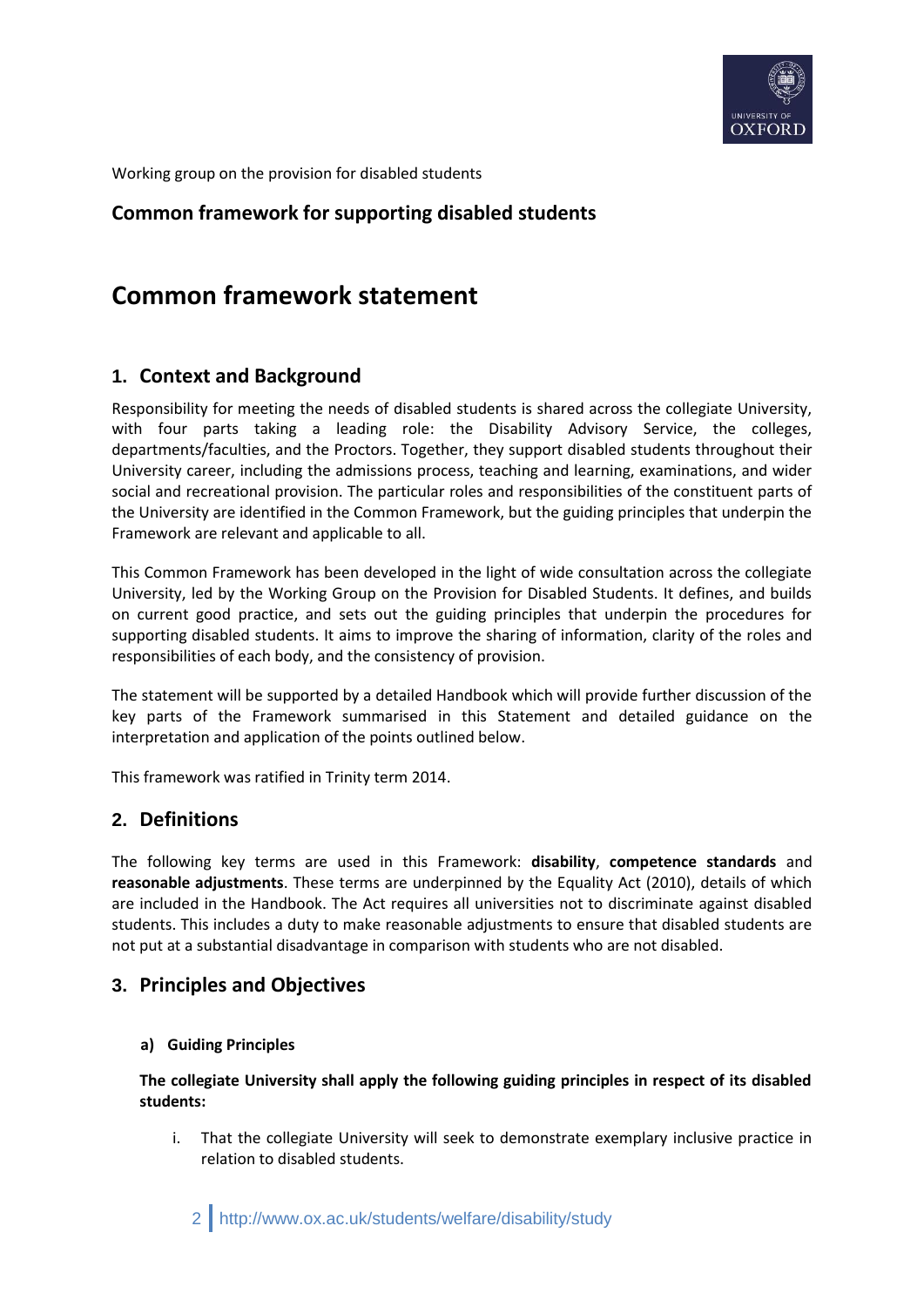

Working group on the provision for disabled students

# **Common framework for supporting disabled students**

# **Common framework statement**

# **1. Context and Background**

Responsibility for meeting the needs of disabled students is shared across the collegiate University, with four parts taking a leading role: the Disability Advisory Service, the colleges, departments/faculties, and the Proctors. Together, they support disabled students throughout their University career, including the admissions process, teaching and learning, examinations, and wider social and recreational provision. The particular roles and responsibilities of the constituent parts of the University are identified in the Common Framework, but the guiding principles that underpin the Framework are relevant and applicable to all.

This Common Framework has been developed in the light of wide consultation across the collegiate University, led by the Working Group on the Provision for Disabled Students. It defines, and builds on current good practice, and sets out the guiding principles that underpin the procedures for supporting disabled students. It aims to improve the sharing of information, clarity of the roles and responsibilities of each body, and the consistency of provision.

The statement will be supported by a detailed Handbook which will provide further discussion of the key parts of the Framework summarised in this Statement and detailed guidance on the interpretation and application of the points outlined below.

This framework was ratified in Trinity term 2014.

## **2. Definitions**

The following key terms are used in this Framework: **disability**, **competence standards** and **reasonable adjustments**. These terms are underpinned by the Equality Act (2010), details of which are included in the Handbook. The Act requires all universities not to discriminate against disabled students. This includes a duty to make reasonable adjustments to ensure that disabled students are not put at a substantial disadvantage in comparison with students who are not disabled.

## **3. Principles and Objectives**

#### **a) Guiding Principles**

**The collegiate University shall apply the following guiding principles in respect of its disabled students:**

i. That the collegiate University will seek to demonstrate exemplary inclusive practice in relation to disabled students.

2 http://www.ox.ac.uk/students/welfare/disability/study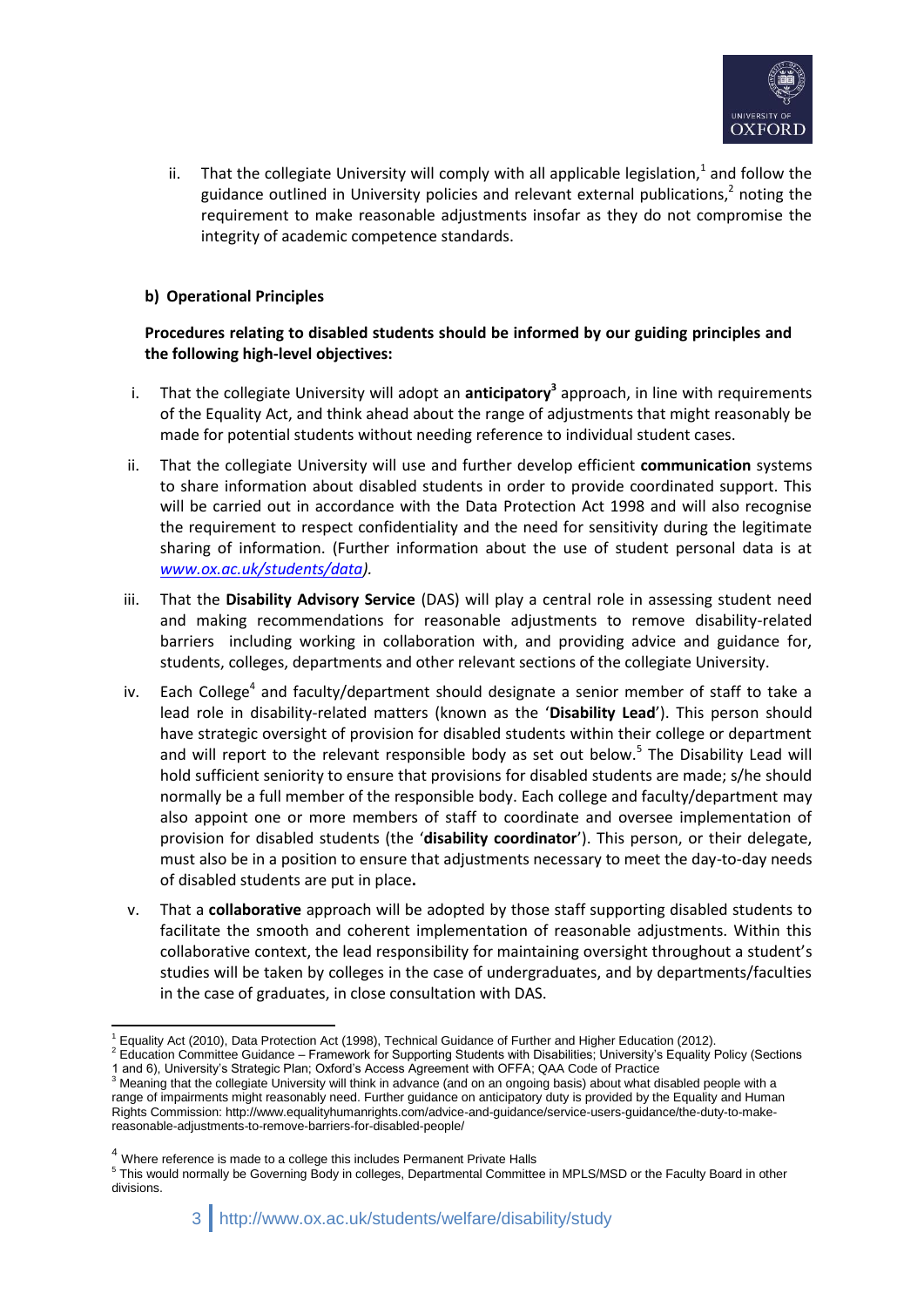

ii. That the collegiate University will comply with all applicable legislation,<sup>1</sup> and follow the guidance outlined in University policies and relevant external publications, $^2$  noting the requirement to make reasonable adjustments insofar as they do not compromise the integrity of academic competence standards.

#### **b) Operational Principles**

#### **Procedures relating to disabled students should be informed by our guiding principles and the following high-level objectives:**

- i. That the collegiate University will adopt an **anticipatory<sup>3</sup>** approach, in line with requirements of the Equality Act, and think ahead about the range of adjustments that might reasonably be made for potential students without needing reference to individual student cases.
- ii. That the collegiate University will use and further develop efficient **communication** systems to share information about disabled students in order to provide coordinated support. This will be carried out in accordance with the Data Protection Act 1998 and will also recognise the requirement to respect confidentiality and the need for sensitivity during the legitimate sharing of information. (Further information about the use of student personal data is at *[www.ox.ac.uk/students/data\)](http://www.ox.ac.uk/students/data).*
- iii. That the **Disability Advisory Service** (DAS) will play a central role in assessing student need and making recommendations for reasonable adjustments to remove disability-related barriers including working in collaboration with, and providing advice and guidance for, students, colleges, departments and other relevant sections of the collegiate University.
- iv. Each College<sup>4</sup> and faculty/department should designate a senior member of staff to take a lead role in disability-related matters (known as the '**Disability Lead**'). This person should have strategic oversight of provision for disabled students within their college or department and will report to the relevant responsible body as set out below.<sup>5</sup> The Disability Lead will hold sufficient seniority to ensure that provisions for disabled students are made; s/he should normally be a full member of the responsible body. Each college and faculty/department may also appoint one or more members of staff to coordinate and oversee implementation of provision for disabled students (the '**disability coordinator**'). This person, or their delegate, must also be in a position to ensure that adjustments necessary to meet the day-to-day needs of disabled students are put in place**.**
- v. That a **collaborative** approach will be adopted by those staff supporting disabled students to facilitate the smooth and coherent implementation of reasonable adjustments. Within this collaborative context, the lead responsibility for maintaining oversight throughout a student's studies will be taken by colleges in the case of undergraduates, and by departments/faculties in the case of graduates, in close consultation with DAS.

<sup>-</sup> $1$  Equality Act (2010), Data Protection Act (1998), Technical Guidance of Further and Higher Education (2012).

<sup>2</sup> Education Committee Guidance – Framework for Supporting Students with Disabilities; University's Equality Policy (Sections 1 and 6), University's Strategic Plan; Oxford's Access Agreement with OFFA; QAA Code of Practice

<sup>&</sup>lt;sup>3</sup> Meaning that the collegiate University will think in advance (and on an ongoing basis) about what disabled people with a range of impairments might reasonably need. Further guidance on anticipatory duty is provided by the Equality and Human Rights Commission: http://www.equalityhumanrights.com/advice-and-guidance/service-users-guidance/the-duty-to-makereasonable-adjustments-to-remove-barriers-for-disabled-people/

<sup>&</sup>lt;sup>4</sup> Where reference is made to a college this includes Permanent Private Halls

<sup>&</sup>lt;sup>5</sup> This would normally be Governing Body in colleges, Departmental Committee in MPLS/MSD or the Faculty Board in other divisions.